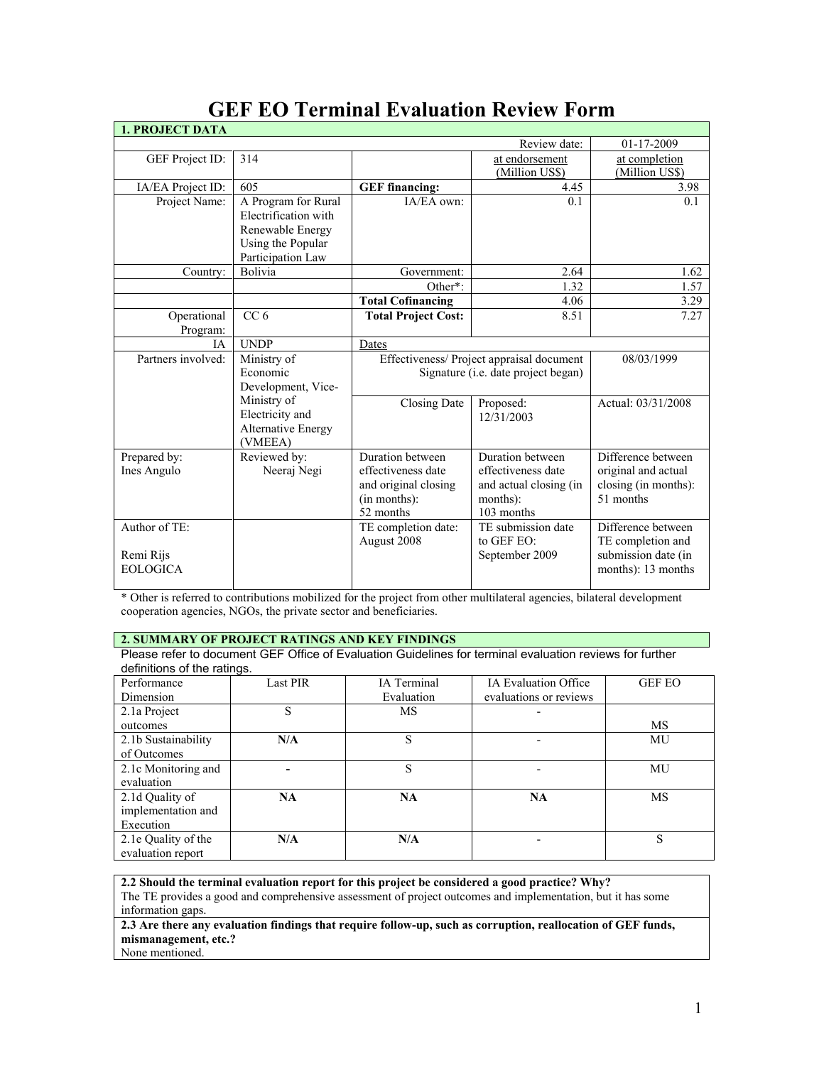| <b>1. PROJECT DATA</b>                       |                                                                                                           |                                                                                                                    |                                                                                                                  |                                                                                                      |
|----------------------------------------------|-----------------------------------------------------------------------------------------------------------|--------------------------------------------------------------------------------------------------------------------|------------------------------------------------------------------------------------------------------------------|------------------------------------------------------------------------------------------------------|
|                                              |                                                                                                           |                                                                                                                    | Review date:                                                                                                     | 01-17-2009                                                                                           |
| GEF Project ID:                              | 314                                                                                                       |                                                                                                                    | at endorsement<br>(Million US\$)                                                                                 | at completion<br>(Million US\$)                                                                      |
| IA/EA Project ID:                            | 605                                                                                                       | <b>GEF</b> financing:                                                                                              | 4.45                                                                                                             | 3.98                                                                                                 |
| Project Name:                                | A Program for Rural<br>Electrification with<br>Renewable Energy<br>Using the Popular<br>Participation Law | IA/EA own:                                                                                                         | 0.1                                                                                                              | 0.1                                                                                                  |
| Country:                                     | Bolivia                                                                                                   | Government:                                                                                                        | 2.64                                                                                                             | 1.62                                                                                                 |
|                                              |                                                                                                           | Other*:                                                                                                            | 1.32                                                                                                             | 1.57                                                                                                 |
|                                              |                                                                                                           | <b>Total Cofinancing</b>                                                                                           | 4.06                                                                                                             | 3.29                                                                                                 |
| Operational<br>Program:                      | CC <sub>6</sub>                                                                                           | <b>Total Project Cost:</b>                                                                                         | 8.51                                                                                                             | 7.27                                                                                                 |
| <b>IA</b>                                    | <b>UNDP</b>                                                                                               | Dates                                                                                                              |                                                                                                                  |                                                                                                      |
| Partners involved:                           | Ministry of<br>Economic<br>Development, Vice-                                                             | Effectiveness/ Project appraisal document<br>Signature (i.e. date project began)                                   |                                                                                                                  | 08/03/1999                                                                                           |
|                                              | Ministry of<br>Electricity and<br>Alternative Energy<br>(VMEEA)                                           | Closing Date                                                                                                       | Proposed:<br>12/31/2003                                                                                          | Actual: 03/31/2008                                                                                   |
| Prepared by:<br>Ines Angulo<br>Author of TE: | Reviewed by:<br>Neeraj Negi                                                                               | Duration between<br>effectiveness date<br>and original closing<br>(in months):<br>52 months<br>TE completion date: | Duration between<br>effectiveness date<br>and actual closing (in<br>months):<br>103 months<br>TE submission date | Difference between<br>original and actual<br>closing (in months):<br>51 months<br>Difference between |
| Remi Rijs<br><b>EOLOGICA</b>                 |                                                                                                           | August 2008                                                                                                        | to GEF EO:<br>September 2009                                                                                     | TE completion and<br>submission date (in<br>months): 13 months                                       |

# **GEF EO Terminal Evaluation Review Form**

\* Other is referred to contributions mobilized for the project from other multilateral agencies, bilateral development cooperation agencies, NGOs, the private sector and beneficiaries.

# **2. SUMMARY OF PROJECT RATINGS AND KEY FINDINGS**

Please refer to document GEF Office of Evaluation Guidelines for terminal evaluation reviews for further definitions of the ratings.

| Performance         | <b>Last PIR</b> | IA Terminal | <b>IA Evaluation Office</b> | <b>GEF EO</b> |
|---------------------|-----------------|-------------|-----------------------------|---------------|
| Dimension           |                 | Evaluation  | evaluations or reviews      |               |
| 2.1a Project        | S               | MS          |                             |               |
| outcomes            |                 |             |                             | MS            |
| 2.1b Sustainability | N/A             | S           |                             | MU            |
| of Outcomes         |                 |             |                             |               |
| 2.1c Monitoring and |                 | S           |                             | MU            |
| evaluation          |                 |             |                             |               |
| 2.1d Quality of     | <b>NA</b>       | NA          | <b>NA</b>                   | MS            |
| implementation and  |                 |             |                             |               |
| Execution           |                 |             |                             |               |
| 2.1e Quality of the | N/A             | N/A         |                             | S             |
| evaluation report   |                 |             |                             |               |

**2.2 Should the terminal evaluation report for this project be considered a good practice? Why?** The TE provides a good and comprehensive assessment of project outcomes and implementation, but it has some information gaps.

**2.3 Are there any evaluation findings that require follow-up, such as corruption, reallocation of GEF funds, mismanagement, etc.?** None mentioned.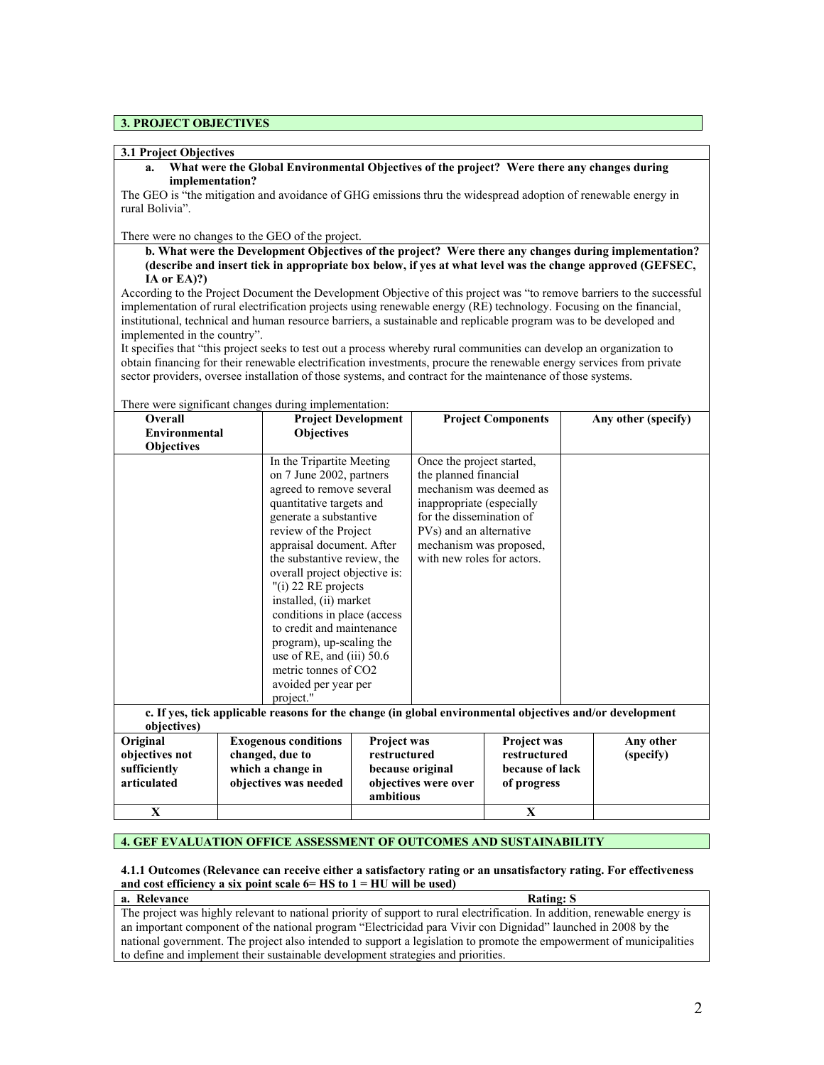#### **3. PROJECT OBJECTIVES**

#### **3.1 Project Objectives**

**a. What were the Global Environmental Objectives of the project? Were there any changes during implementation?** 

The GEO is "the mitigation and avoidance of GHG emissions thru the widespread adoption of renewable energy in rural Bolivia".

#### There were no changes to the GEO of the project.

**b. What were the Development Objectives of the project? Were there any changes during implementation? (describe and insert tick in appropriate box below, if yes at what level was the change approved (GEFSEC, IA or EA)?)**

According to the Project Document the Development Objective of this project was "to remove barriers to the successful implementation of rural electrification projects using renewable energy (RE) technology. Focusing on the financial, institutional, technical and human resource barriers, a sustainable and replicable program was to be developed and implemented in the country".

It specifies that "this project seeks to test out a process whereby rural communities can develop an organization to obtain financing for their renewable electrification investments, procure the renewable energy services from private sector providers, oversee installation of those systems, and contract for the maintenance of those systems.

| Overall                           | There were significant enanges daring imprementation.<br><b>Project Development</b>                      |             |                            | <b>Project Components</b> |  | Any other (specify) |
|-----------------------------------|----------------------------------------------------------------------------------------------------------|-------------|----------------------------|---------------------------|--|---------------------|
| <b>Environmental</b>              | <b>Objectives</b>                                                                                        |             |                            |                           |  |                     |
| <b>Objectives</b>                 |                                                                                                          |             |                            |                           |  |                     |
|                                   | In the Tripartite Meeting                                                                                |             | Once the project started,  |                           |  |                     |
|                                   | on 7 June 2002, partners                                                                                 |             | the planned financial      |                           |  |                     |
|                                   | agreed to remove several                                                                                 |             | mechanism was deemed as    |                           |  |                     |
|                                   | quantitative targets and                                                                                 |             | inappropriate (especially  |                           |  |                     |
|                                   | generate a substantive                                                                                   |             | for the dissemination of   |                           |  |                     |
|                                   | review of the Project                                                                                    |             | PVs) and an alternative    |                           |  |                     |
|                                   | appraisal document. After                                                                                |             | mechanism was proposed,    |                           |  |                     |
|                                   | the substantive review, the                                                                              |             | with new roles for actors. |                           |  |                     |
|                                   | overall project objective is:                                                                            |             |                            |                           |  |                     |
|                                   | "(i) 22 RE projects                                                                                      |             |                            |                           |  |                     |
| installed, (ii) market            |                                                                                                          |             |                            |                           |  |                     |
|                                   | conditions in place (access                                                                              |             |                            |                           |  |                     |
|                                   | to credit and maintenance                                                                                |             |                            |                           |  |                     |
|                                   | program), up-scaling the                                                                                 |             |                            |                           |  |                     |
|                                   | use of RE, and $(iii)$ 50.6                                                                              |             |                            |                           |  |                     |
|                                   | metric tonnes of CO2                                                                                     |             |                            |                           |  |                     |
|                                   | avoided per year per                                                                                     |             |                            |                           |  |                     |
|                                   | project."                                                                                                |             |                            |                           |  |                     |
|                                   | c. If yes, tick applicable reasons for the change (in global environmental objectives and/or development |             |                            |                           |  |                     |
| objectives)                       |                                                                                                          |             |                            |                           |  |                     |
| Original                          | <b>Exogenous conditions</b>                                                                              | Project was |                            | Project was               |  | Any other           |
| objectives not                    | changed, due to<br>restructured                                                                          |             |                            | restructured              |  | (specify)           |
| sufficiently<br>which a change in |                                                                                                          |             | because original           | because of lack           |  |                     |
| articulated                       | objectives was needed                                                                                    | ambitious   | objectives were over       | of progress               |  |                     |
| X                                 |                                                                                                          |             |                            | X                         |  |                     |

There were significant changes during implementation:

#### **4. GEF EVALUATION OFFICE ASSESSMENT OF OUTCOMES AND SUSTAINABILITY**

#### **4.1.1 Outcomes (Relevance can receive either a satisfactory rating or an unsatisfactory rating. For effectiveness and cost efficiency a six point scale 6= HS to 1 = HU will be used)**

| a. Relevance                                                                                                               | <b>Rating: S</b> |
|----------------------------------------------------------------------------------------------------------------------------|------------------|
| The project was highly relevant to national priority of support to rural electrification. In addition, renewable energy is |                  |
| an important component of the national program "Electricidad para Vivir con Dignidad" launched in 2008 by the              |                  |
| national government. The project also intended to support a legislation to promote the empowerment of municipalities       |                  |
| to define and implement their sustainable development strategies and priorities.                                           |                  |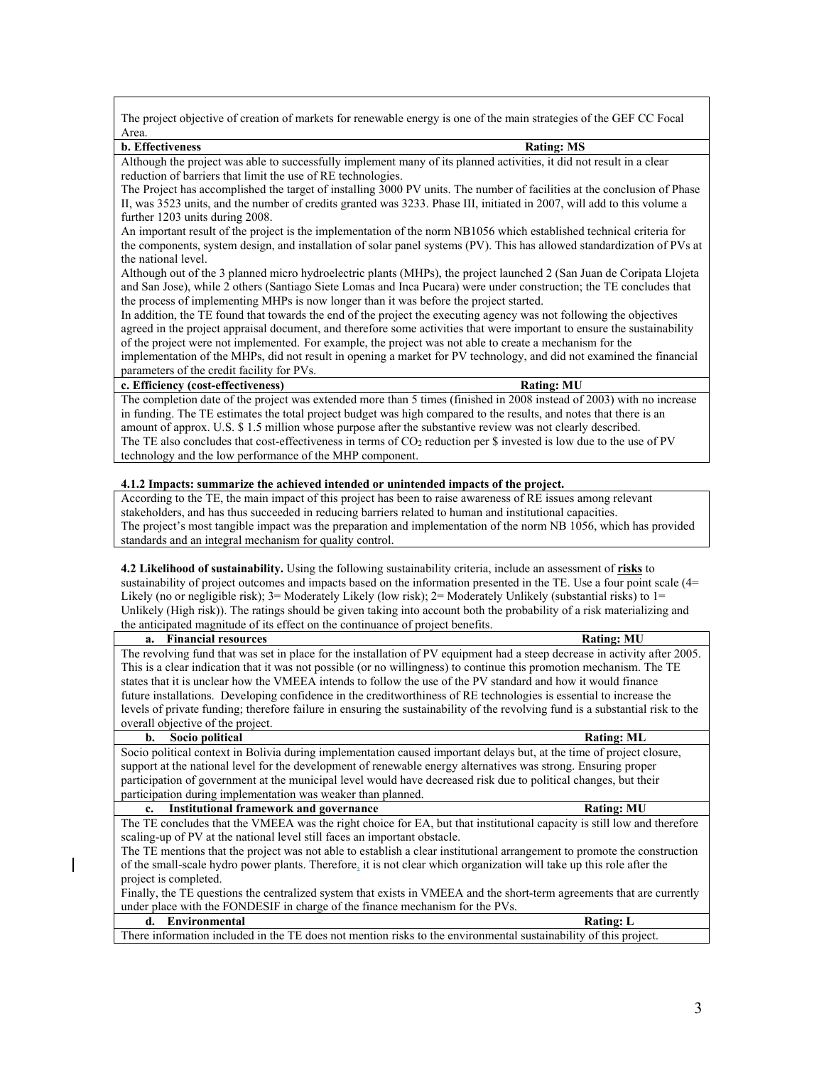The project objective of creation of markets for renewable energy is one of the main strategies of the GEF CC Focal Area.

#### **b. Effectiveness Rating: MS**

Although the project was able to successfully implement many of its planned activities, it did not result in a clear reduction of barriers that limit the use of RE technologies.

The Project has accomplished the target of installing 3000 PV units. The number of facilities at the conclusion of Phase II, was 3523 units, and the number of credits granted was 3233. Phase III, initiated in 2007, will add to this volume a further 1203 units during 2008.

An important result of the project is the implementation of the norm NB1056 which established technical criteria for the components, system design, and installation of solar panel systems (PV). This has allowed standardization of PVs at the national level.

Although out of the 3 planned micro hydroelectric plants (MHPs), the project launched 2 (San Juan de Coripata Llojeta and San Jose), while 2 others (Santiago Siete Lomas and Inca Pucara) were under construction; the TE concludes that the process of implementing MHPs is now longer than it was before the project started.

In addition, the TE found that towards the end of the project the executing agency was not following the objectives agreed in the project appraisal document, and therefore some activities that were important to ensure the sustainability of the project were not implemented. For example, the project was not able to create a mechanism for the

implementation of the MHPs, did not result in opening a market for PV technology, and did not examined the financial parameters of the credit facility for PVs.

### **c. Efficiency (cost-effectiveness) Rating: MU**

The completion date of the project was extended more than 5 times (finished in 2008 instead of 2003) with no increase in funding. The TE estimates the total project budget was high compared to the results, and notes that there is an amount of approx. U.S. \$ 1.5 million whose purpose after the substantive review was not clearly described. The TE also concludes that cost-effectiveness in terms of  $CO<sub>2</sub>$  reduction per \$ invested is low due to the use of PV technology and the low performance of the MHP component.

#### **4.1.2 Impacts: summarize the achieved intended or unintended impacts of the project.**

According to the TE, the main impact of this project has been to raise awareness of RE issues among relevant stakeholders, and has thus succeeded in reducing barriers related to human and institutional capacities. The project's most tangible impact was the preparation and implementation of the norm NB 1056, which has provided standards and an integral mechanism for quality control.

**4.2 Likelihood of sustainability.** Using the following sustainability criteria, include an assessment of **risks** to sustainability of project outcomes and impacts based on the information presented in the TE. Use a four point scale (4= Likely (no or negligible risk); 3= Moderately Likely (low risk); 2= Moderately Unlikely (substantial risks) to 1= Unlikely (High risk)). The ratings should be given taking into account both the probability of a risk materializing and the anticipated magnitude of its effect on the continuance of project benefits.

| The revolving fund that was set in place for the installation of PV equipment had a steep decrease in activity after 2005.<br>This is a clear indication that it was not possible (or no willingness) to continue this promotion mechanism. The TE<br>states that it is unclear how the VMEEA intends to follow the use of the PV standard and how it would finance<br>future installations. Developing confidence in the creditworthiness of RE technologies is essential to increase the<br>levels of private funding; therefore failure in ensuring the sustainability of the revolving fund is a substantial risk to the<br>overall objective of the project.<br>Socio political<br>b.<br><b>Rating: ML</b><br>Socio political context in Bolivia during implementation caused important delays but, at the time of project closure,<br>support at the national level for the development of renewable energy alternatives was strong. Ensuring proper<br>participation of government at the municipal level would have decreased risk due to political changes, but their<br>participation during implementation was weaker than planned.<br><b>Institutional framework and governance</b><br><b>Rating: MU</b><br>$c_{\cdot}$<br>The TE concludes that the VMEEA was the right choice for EA, but that institutional capacity is still low and therefore<br>scaling-up of PV at the national level still faces an important obstacle.<br>The TE mentions that the project was not able to establish a clear institutional arrangement to promote the construction<br>of the small-scale hydro power plants. Therefore, it is not clear which organization will take up this role after the<br>project is completed.<br>Finally, the TE questions the centralized system that exists in VMEEA and the short-term agreements that are currently<br>under place with the FONDESIF in charge of the finance mechanism for the PVs.<br>Environmental<br>d.<br><b>Rating: L</b><br>There information included in the TE does not mention risks to the environmental sustainability of this project. | a. Financial resources | <b>Rating: MU</b> |
|-----------------------------------------------------------------------------------------------------------------------------------------------------------------------------------------------------------------------------------------------------------------------------------------------------------------------------------------------------------------------------------------------------------------------------------------------------------------------------------------------------------------------------------------------------------------------------------------------------------------------------------------------------------------------------------------------------------------------------------------------------------------------------------------------------------------------------------------------------------------------------------------------------------------------------------------------------------------------------------------------------------------------------------------------------------------------------------------------------------------------------------------------------------------------------------------------------------------------------------------------------------------------------------------------------------------------------------------------------------------------------------------------------------------------------------------------------------------------------------------------------------------------------------------------------------------------------------------------------------------------------------------------------------------------------------------------------------------------------------------------------------------------------------------------------------------------------------------------------------------------------------------------------------------------------------------------------------------------------------------------------------------------------------------------------------------------------------------------------|------------------------|-------------------|
|                                                                                                                                                                                                                                                                                                                                                                                                                                                                                                                                                                                                                                                                                                                                                                                                                                                                                                                                                                                                                                                                                                                                                                                                                                                                                                                                                                                                                                                                                                                                                                                                                                                                                                                                                                                                                                                                                                                                                                                                                                                                                                     |                        |                   |
|                                                                                                                                                                                                                                                                                                                                                                                                                                                                                                                                                                                                                                                                                                                                                                                                                                                                                                                                                                                                                                                                                                                                                                                                                                                                                                                                                                                                                                                                                                                                                                                                                                                                                                                                                                                                                                                                                                                                                                                                                                                                                                     |                        |                   |
|                                                                                                                                                                                                                                                                                                                                                                                                                                                                                                                                                                                                                                                                                                                                                                                                                                                                                                                                                                                                                                                                                                                                                                                                                                                                                                                                                                                                                                                                                                                                                                                                                                                                                                                                                                                                                                                                                                                                                                                                                                                                                                     |                        |                   |
|                                                                                                                                                                                                                                                                                                                                                                                                                                                                                                                                                                                                                                                                                                                                                                                                                                                                                                                                                                                                                                                                                                                                                                                                                                                                                                                                                                                                                                                                                                                                                                                                                                                                                                                                                                                                                                                                                                                                                                                                                                                                                                     |                        |                   |
|                                                                                                                                                                                                                                                                                                                                                                                                                                                                                                                                                                                                                                                                                                                                                                                                                                                                                                                                                                                                                                                                                                                                                                                                                                                                                                                                                                                                                                                                                                                                                                                                                                                                                                                                                                                                                                                                                                                                                                                                                                                                                                     |                        |                   |
|                                                                                                                                                                                                                                                                                                                                                                                                                                                                                                                                                                                                                                                                                                                                                                                                                                                                                                                                                                                                                                                                                                                                                                                                                                                                                                                                                                                                                                                                                                                                                                                                                                                                                                                                                                                                                                                                                                                                                                                                                                                                                                     |                        |                   |
|                                                                                                                                                                                                                                                                                                                                                                                                                                                                                                                                                                                                                                                                                                                                                                                                                                                                                                                                                                                                                                                                                                                                                                                                                                                                                                                                                                                                                                                                                                                                                                                                                                                                                                                                                                                                                                                                                                                                                                                                                                                                                                     |                        |                   |
|                                                                                                                                                                                                                                                                                                                                                                                                                                                                                                                                                                                                                                                                                                                                                                                                                                                                                                                                                                                                                                                                                                                                                                                                                                                                                                                                                                                                                                                                                                                                                                                                                                                                                                                                                                                                                                                                                                                                                                                                                                                                                                     |                        |                   |
|                                                                                                                                                                                                                                                                                                                                                                                                                                                                                                                                                                                                                                                                                                                                                                                                                                                                                                                                                                                                                                                                                                                                                                                                                                                                                                                                                                                                                                                                                                                                                                                                                                                                                                                                                                                                                                                                                                                                                                                                                                                                                                     |                        |                   |
|                                                                                                                                                                                                                                                                                                                                                                                                                                                                                                                                                                                                                                                                                                                                                                                                                                                                                                                                                                                                                                                                                                                                                                                                                                                                                                                                                                                                                                                                                                                                                                                                                                                                                                                                                                                                                                                                                                                                                                                                                                                                                                     |                        |                   |
|                                                                                                                                                                                                                                                                                                                                                                                                                                                                                                                                                                                                                                                                                                                                                                                                                                                                                                                                                                                                                                                                                                                                                                                                                                                                                                                                                                                                                                                                                                                                                                                                                                                                                                                                                                                                                                                                                                                                                                                                                                                                                                     |                        |                   |
|                                                                                                                                                                                                                                                                                                                                                                                                                                                                                                                                                                                                                                                                                                                                                                                                                                                                                                                                                                                                                                                                                                                                                                                                                                                                                                                                                                                                                                                                                                                                                                                                                                                                                                                                                                                                                                                                                                                                                                                                                                                                                                     |                        |                   |
|                                                                                                                                                                                                                                                                                                                                                                                                                                                                                                                                                                                                                                                                                                                                                                                                                                                                                                                                                                                                                                                                                                                                                                                                                                                                                                                                                                                                                                                                                                                                                                                                                                                                                                                                                                                                                                                                                                                                                                                                                                                                                                     |                        |                   |
|                                                                                                                                                                                                                                                                                                                                                                                                                                                                                                                                                                                                                                                                                                                                                                                                                                                                                                                                                                                                                                                                                                                                                                                                                                                                                                                                                                                                                                                                                                                                                                                                                                                                                                                                                                                                                                                                                                                                                                                                                                                                                                     |                        |                   |
|                                                                                                                                                                                                                                                                                                                                                                                                                                                                                                                                                                                                                                                                                                                                                                                                                                                                                                                                                                                                                                                                                                                                                                                                                                                                                                                                                                                                                                                                                                                                                                                                                                                                                                                                                                                                                                                                                                                                                                                                                                                                                                     |                        |                   |
|                                                                                                                                                                                                                                                                                                                                                                                                                                                                                                                                                                                                                                                                                                                                                                                                                                                                                                                                                                                                                                                                                                                                                                                                                                                                                                                                                                                                                                                                                                                                                                                                                                                                                                                                                                                                                                                                                                                                                                                                                                                                                                     |                        |                   |
|                                                                                                                                                                                                                                                                                                                                                                                                                                                                                                                                                                                                                                                                                                                                                                                                                                                                                                                                                                                                                                                                                                                                                                                                                                                                                                                                                                                                                                                                                                                                                                                                                                                                                                                                                                                                                                                                                                                                                                                                                                                                                                     |                        |                   |
|                                                                                                                                                                                                                                                                                                                                                                                                                                                                                                                                                                                                                                                                                                                                                                                                                                                                                                                                                                                                                                                                                                                                                                                                                                                                                                                                                                                                                                                                                                                                                                                                                                                                                                                                                                                                                                                                                                                                                                                                                                                                                                     |                        |                   |
|                                                                                                                                                                                                                                                                                                                                                                                                                                                                                                                                                                                                                                                                                                                                                                                                                                                                                                                                                                                                                                                                                                                                                                                                                                                                                                                                                                                                                                                                                                                                                                                                                                                                                                                                                                                                                                                                                                                                                                                                                                                                                                     |                        |                   |
|                                                                                                                                                                                                                                                                                                                                                                                                                                                                                                                                                                                                                                                                                                                                                                                                                                                                                                                                                                                                                                                                                                                                                                                                                                                                                                                                                                                                                                                                                                                                                                                                                                                                                                                                                                                                                                                                                                                                                                                                                                                                                                     |                        |                   |
|                                                                                                                                                                                                                                                                                                                                                                                                                                                                                                                                                                                                                                                                                                                                                                                                                                                                                                                                                                                                                                                                                                                                                                                                                                                                                                                                                                                                                                                                                                                                                                                                                                                                                                                                                                                                                                                                                                                                                                                                                                                                                                     |                        |                   |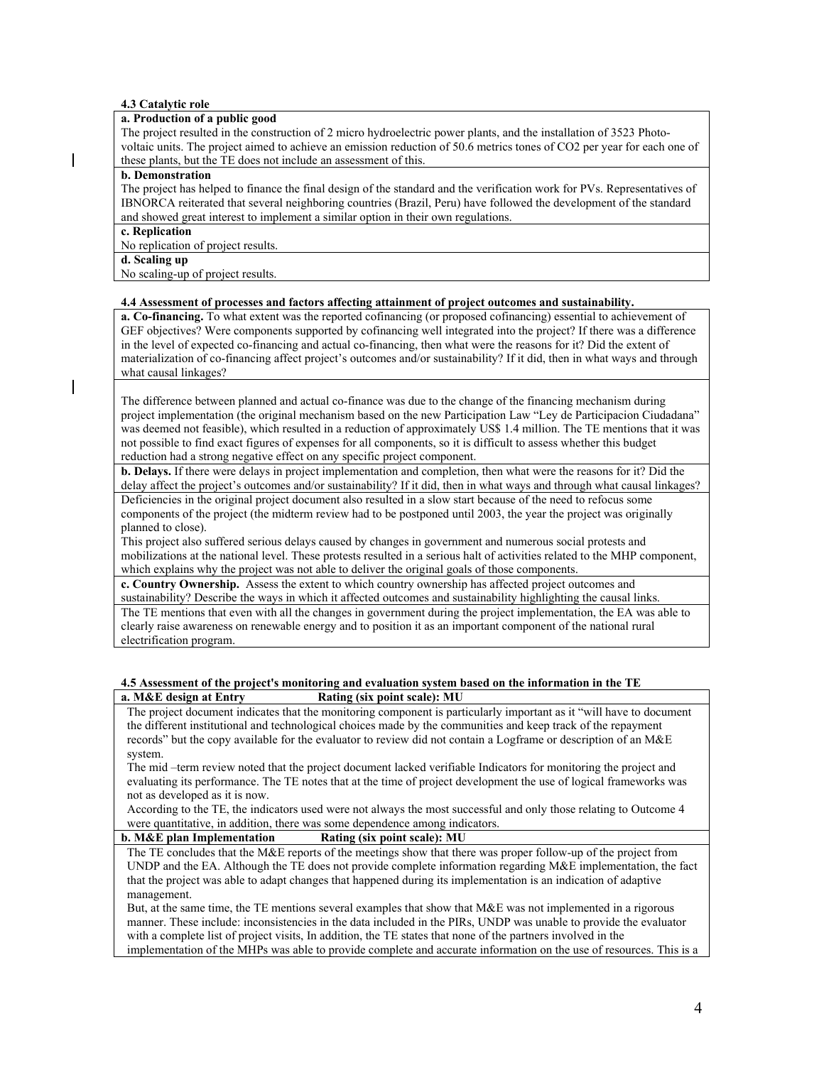#### **4.3 Catalytic role**

#### **a. Production of a public good**

The project resulted in the construction of 2 micro hydroelectric power plants, and the installation of 3523 Photovoltaic units. The project aimed to achieve an emission reduction of 50.6 metrics tones of CO2 per year for each one of these plants, but the TE does not include an assessment of this.

#### **b. Demonstration**

The project has helped to finance the final design of the standard and the verification work for PVs. Representatives of IBNORCA reiterated that several neighboring countries (Brazil, Peru) have followed the development of the standard and showed great interest to implement a similar option in their own regulations.

**c. Replication**

No replication of project results.

# **d. Scaling up**

No scaling-up of project results.

#### **4.4 Assessment of processes and factors affecting attainment of project outcomes and sustainability.**

**a. Co-financing.** To what extent was the reported cofinancing (or proposed cofinancing) essential to achievement of GEF objectives? Were components supported by cofinancing well integrated into the project? If there was a difference in the level of expected co-financing and actual co-financing, then what were the reasons for it? Did the extent of materialization of co-financing affect project's outcomes and/or sustainability? If it did, then in what ways and through what causal linkages?

The difference between planned and actual co-finance was due to the change of the financing mechanism during project implementation (the original mechanism based on the new Participation Law "Ley de Participacion Ciudadana" was deemed not feasible), which resulted in a reduction of approximately US\$ 1.4 million. The TE mentions that it was not possible to find exact figures of expenses for all components, so it is difficult to assess whether this budget reduction had a strong negative effect on any specific project component.

**b. Delays.** If there were delays in project implementation and completion, then what were the reasons for it? Did the delay affect the project's outcomes and/or sustainability? If it did, then in what ways and through what causal linkages? Deficiencies in the original project document also resulted in a slow start because of the need to refocus some

components of the project (the midterm review had to be postponed until 2003, the year the project was originally planned to close).

This project also suffered serious delays caused by changes in government and numerous social protests and mobilizations at the national level. These protests resulted in a serious halt of activities related to the MHP component, which explains why the project was not able to deliver the original goals of those components.

**c. Country Ownership.** Assess the extent to which country ownership has affected project outcomes and

sustainability? Describe the ways in which it affected outcomes and sustainability highlighting the causal links. The TE mentions that even with all the changes in government during the project implementation, the EA was able to clearly raise awareness on renewable energy and to position it as an important component of the national rural electrification program.

#### **4.5 Assessment of the project's monitoring and evaluation system based on the information in the TE a. M&E design at Entry Rating (six point scale): MU**

The project document indicates that the monitoring component is particularly important as it "will have to document the different institutional and technological choices made by the communities and keep track of the repayment records" but the copy available for the evaluator to review did not contain a Logframe or description of an M&E system.

The mid –term review noted that the project document lacked verifiable Indicators for monitoring the project and evaluating its performance. The TE notes that at the time of project development the use of logical frameworks was not as developed as it is now.

According to the TE, the indicators used were not always the most successful and only those relating to Outcome 4 were quantitative, in addition, there was some dependence among indicators.

#### **b. M&E plan Implementation Rating (six point scale): MU**

The TE concludes that the M&E reports of the meetings show that there was proper follow-up of the project from UNDP and the EA. Although the TE does not provide complete information regarding M&E implementation, the fact that the project was able to adapt changes that happened during its implementation is an indication of adaptive management.

But, at the same time, the TE mentions several examples that show that M&E was not implemented in a rigorous manner. These include: inconsistencies in the data included in the PIRs, UNDP was unable to provide the evaluator with a complete list of project visits, In addition, the TE states that none of the partners involved in the implementation of the MHPs was able to provide complete and accurate information on the use of resources. This is a

4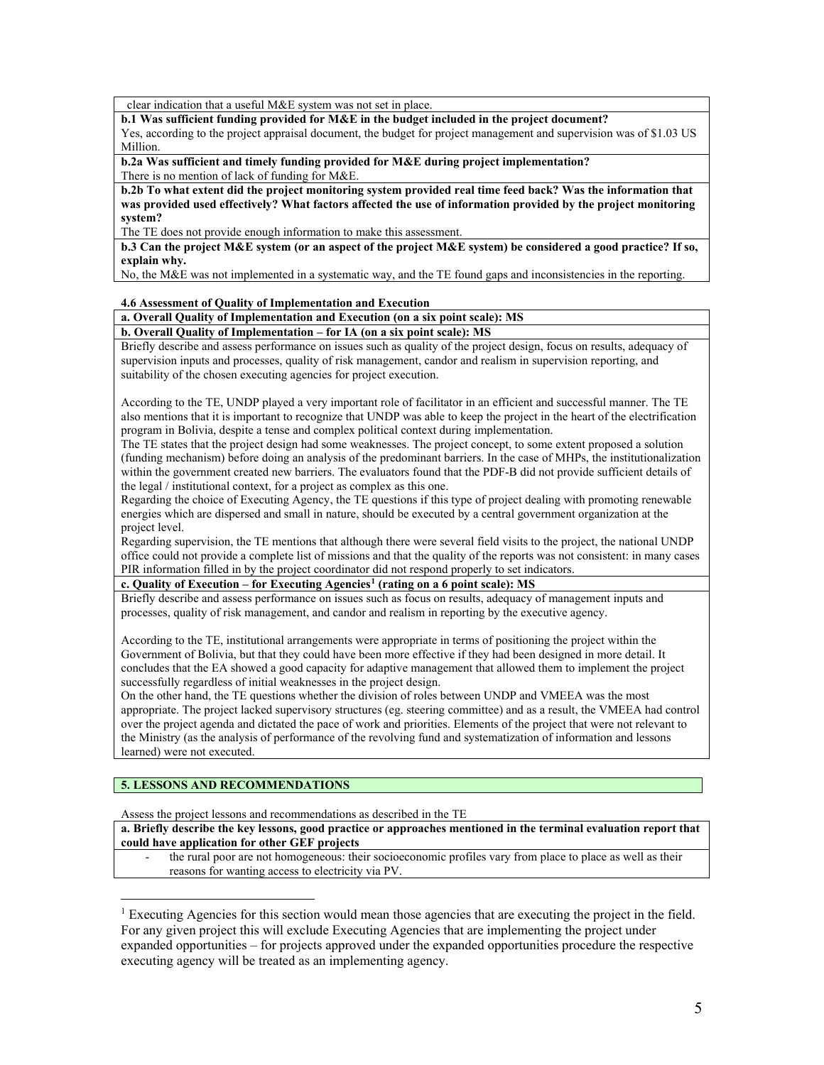clear indication that a useful M&E system was not set in place.

**b.1 Was sufficient funding provided for M&E in the budget included in the project document?**

Yes, according to the project appraisal document, the budget for project management and supervision was of \$1.03 US Million.

**b.2a Was sufficient and timely funding provided for M&E during project implementation?** There is no mention of lack of funding for M&E.

**b.2b To what extent did the project monitoring system provided real time feed back? Was the information that was provided used effectively? What factors affected the use of information provided by the project monitoring system?**

The TE does not provide enough information to make this assessment.

**b.3 Can the project M&E system (or an aspect of the project M&E system) be considered a good practice? If so, explain why.**

No, the M&E was not implemented in a systematic way, and the TE found gaps and inconsistencies in the reporting.

#### **4.6 Assessment of Quality of Implementation and Execution**

#### **a. Overall Quality of Implementation and Execution (on a six point scale): MS**

#### **b. Overall Quality of Implementation – for IA (on a six point scale): MS**

Briefly describe and assess performance on issues such as quality of the project design, focus on results, adequacy of supervision inputs and processes, quality of risk management, candor and realism in supervision reporting, and suitability of the chosen executing agencies for project execution.

According to the TE, UNDP played a very important role of facilitator in an efficient and successful manner. The TE also mentions that it is important to recognize that UNDP was able to keep the project in the heart of the electrification program in Bolivia, despite a tense and complex political context during implementation.

The TE states that the project design had some weaknesses. The project concept, to some extent proposed a solution (funding mechanism) before doing an analysis of the predominant barriers. In the case of MHPs, the institutionalization within the government created new barriers. The evaluators found that the PDF-B did not provide sufficient details of the legal / institutional context, for a project as complex as this one.

Regarding the choice of Executing Agency, the TE questions if this type of project dealing with promoting renewable energies which are dispersed and small in nature, should be executed by a central government organization at the project level.

Regarding supervision, the TE mentions that although there were several field visits to the project, the national UNDP office could not provide a complete list of missions and that the quality of the reports was not consistent: in many cases PIR information filled in by the project coordinator did not respond properly to set indicators.

**c. Quality of Execution – for Executing Agencies[1](#page-4-0) (rating on a 6 point scale): MS**

Briefly describe and assess performance on issues such as focus on results, adequacy of management inputs and processes, quality of risk management, and candor and realism in reporting by the executive agency.

According to the TE, institutional arrangements were appropriate in terms of positioning the project within the Government of Bolivia, but that they could have been more effective if they had been designed in more detail. It concludes that the EA showed a good capacity for adaptive management that allowed them to implement the project successfully regardless of initial weaknesses in the project design.

On the other hand, the TE questions whether the division of roles between UNDP and VMEEA was the most appropriate. The project lacked supervisory structures (eg. steering committee) and as a result, the VMEEA had control over the project agenda and dictated the pace of work and priorities. Elements of the project that were not relevant to the Ministry (as the analysis of performance of the revolving fund and systematization of information and lessons learned) were not executed.

#### **5. LESSONS AND RECOMMENDATIONS**

 $\overline{a}$ 

Assess the project lessons and recommendations as described in the TE

**a. Briefly describe the key lessons, good practice or approaches mentioned in the terminal evaluation report that could have application for other GEF projects**

the rural poor are not homogeneous: their socioeconomic profiles vary from place to place as well as their reasons for wanting access to electricity via PV.

<span id="page-4-0"></span><sup>1</sup> Executing Agencies for this section would mean those agencies that are executing the project in the field. For any given project this will exclude Executing Agencies that are implementing the project under expanded opportunities – for projects approved under the expanded opportunities procedure the respective executing agency will be treated as an implementing agency.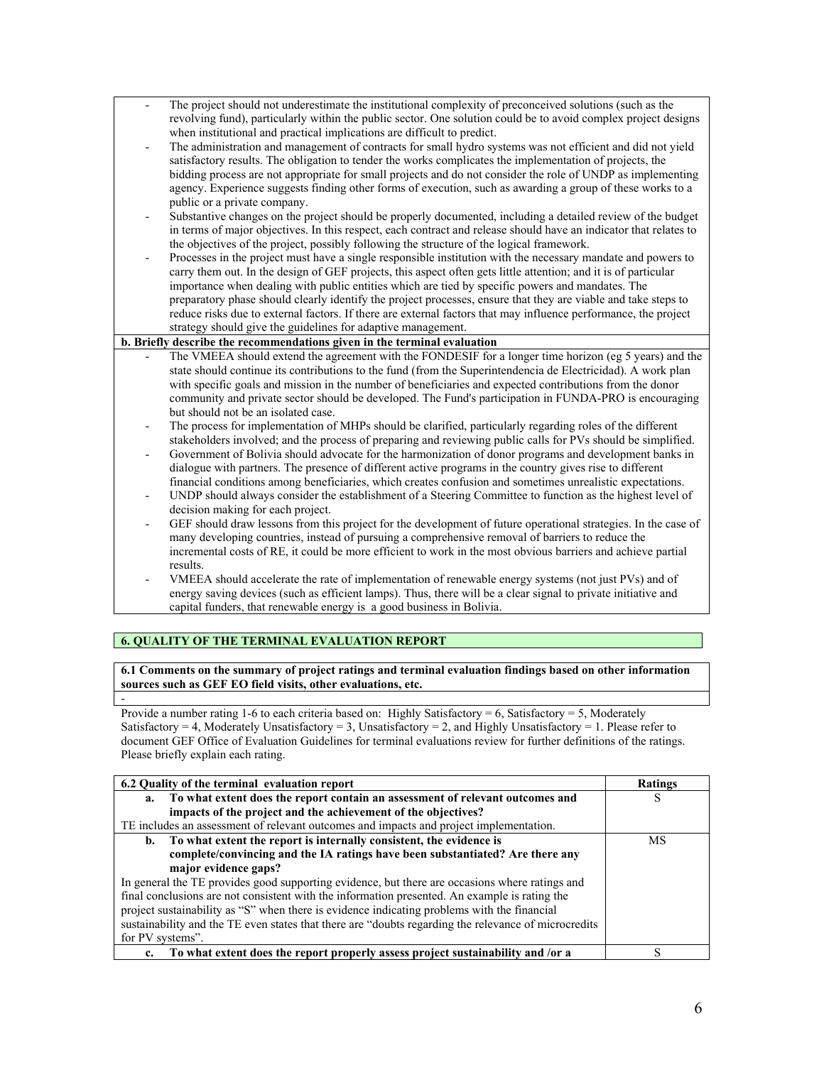The project should not underestimate the institutional complexity of preconceived solutions (such as the revolving fund), particularly within the public sector. One solution could be to avoid complex project designs when institutional and practical implications are difficult to predict. The administration and management of contracts for small hydro systems was not efficient and did not yield satisfactory results. The obligation to tender the works complicates the implementation of projects, the bidding process are not appropriate for small projects and do not consider the role of UNDP as implementing agency. Experience suggests finding other forms of execution, such as awarding a group of these works to a public or a private company. - Substantive changes on the project should be properly documented, including a detailed review of the budget in terms of major objectives. In this respect, each contract and release should have an indicator that relates to the objectives of the project, possibly following the structure of the logical framework. - Processes in the project must have a single responsible institution with the necessary mandate and powers to carry them out. In the design of GEF projects, this aspect often gets little attention; and it is of particular importance when dealing with public entities which are tied by specific powers and mandates. The preparatory phase should clearly identify the project processes, ensure that they are viable and take steps to reduce risks due to external factors. If there are external factors that may influence performance, the project strategy should give the guidelines for adaptive management. **b. Briefly describe the recommendations given in the terminal evaluation**  The VMEEA should extend the agreement with the FONDESIF for a longer time horizon (eg 5 years) and the state should continue its contributions to the fund (from the Superintendencia de Electricidad). A work plan with specific goals and mission in the number of beneficiaries and expected contributions from the donor community and private sector should be developed. The Fund's participation in FUNDA-PRO is encouraging but should not be an isolated case. The process for implementation of MHPs should be clarified, particularly regarding roles of the different stakeholders involved; and the process of preparing and reviewing public calls for PVs should be simplified. - Government of Bolivia should advocate for the harmonization of donor programs and development banks in dialogue with partners. The presence of different active programs in the country gives rise to different financial conditions among beneficiaries, which creates confusion and sometimes unrealistic expectations. UNDP should always consider the establishment of a Steering Committee to function as the highest level of decision making for each project. GEF should draw lessons from this project for the development of future operational strategies. In the case of many developing countries, instead of pursuing a comprehensive removal of barriers to reduce the incremental costs of RE, it could be more efficient to work in the most obvious barriers and achieve partial results. VMEEA should accelerate the rate of implementation of renewable energy systems (not just PVs) and of energy saving devices (such as efficient lamps). Thus, there will be a clear signal to private initiative and capital funders, that renewable energy is a good business in Bolivia.

## **6. QUALITY OF THE TERMINAL EVALUATION REPORT**

**6.1 Comments on the summary of project ratings and terminal evaluation findings based on other information sources such as GEF EO field visits, other evaluations, etc.** 

- Provide a number rating 1-6 to each criteria based on: Highly Satisfactory = 6, Satisfactory = 5, Moderately Satisfactory = 4, Moderately Unsatisfactory = 3, Unsatisfactory = 2, and Highly Unsatisfactory = 1. Please refer to document GEF Office of Evaluation Guidelines for terminal evaluations review for further definitions of the ratings. Please briefly explain each rating.

| 6.2 Quality of the terminal evaluation report                                                         | Ratings |
|-------------------------------------------------------------------------------------------------------|---------|
| a. To what extent does the report contain an assessment of relevant outcomes and                      | S       |
| impacts of the project and the achievement of the objectives?                                         |         |
| TE includes an assessment of relevant outcomes and impacts and project implementation.                |         |
| b. To what extent the report is internally consistent, the evidence is                                | МS      |
| complete/convincing and the IA ratings have been substantiated? Are there any                         |         |
| major evidence gaps?                                                                                  |         |
| In general the TE provides good supporting evidence, but there are occasions where ratings and        |         |
| final conclusions are not consistent with the information presented. An example is rating the         |         |
| project sustainability as "S" when there is evidence indicating problems with the financial           |         |
| sustainability and the TE even states that there are "doubts regarding the relevance of microcredits" |         |
| for PV systems".                                                                                      |         |
| c. To what extent does the report properly assess project sustainability and /or a                    | S       |